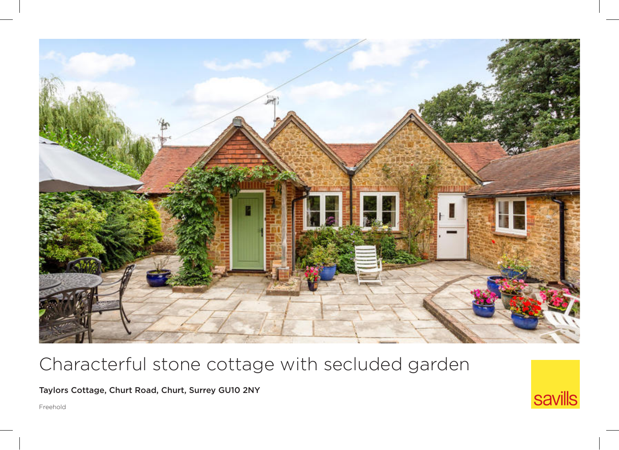

# Characterful stone cottage with secluded garden

Taylors Cottage, Churt Road, Churt, Surrey GU10 2NY

Freehold

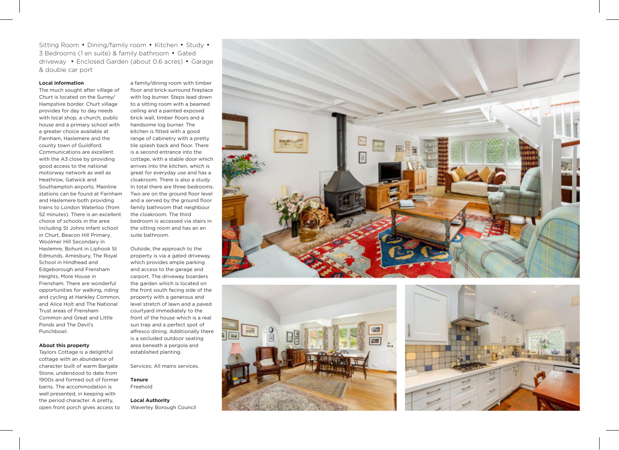Sitting Room • Dining/family room • Kitchen • Study • 3 Bedrooms (1 en suite) & family bathroom • Gated driveway • Enclosed Garden (about 0.6 acres) • Garage & double car port

#### **Local information**

The much sought after village of Churt is located on the Surrey/ Hampshire border. Churt village provides for day to day needs with local shop, a church, public house and a primary school with a greater choice available at Farnham, Haslemere and the county town of Guildford. Communications are excellent with the A3 close by providing good access to the national motorway network as well as Heathrow, Gatwick and Southampton airports. Mainline stations can be found at Farnham and Haslemere both providing trains to London Waterloo (from 52 minutes). There is an excellent choice of schools in the area including St Johns Infant school in Churt, Beacon Hill Primary, Woolmer Hill Secondary in Haslemre, Bohunt in Liphook St Edmunds, Amesbury, The Royal School in Hindhead and Edgeborough and Frensham Heights, More House in Frensham. There are wonderful opportunities for walking, riding and cycling at Hankley Common, and Alice Holt and The National Trust areas of Frensham Common and Great and Little Ponds and The Devil's Punchbowl.

#### **About this property**

Taylors Cottage is a delightful cottage with an abundance of character built of warm Bargate Stone, understood to date from 1900s and formed out of former barns. The accommodation is well presented, in keeping with the period character. A pretty, open front porch gives access to a family/dining room with timber floor and brick surround fireplace with log burner. Steps lead down to a sitting room with a beamed ceiling and a painted exposed brick wall, timber floors and a handsome log burner. The kitchen is fitted with a good range of cabinetry with a pretty tile splash back and floor. There is a second entrance into the cottage, with a stable door which arrives into the kitchen, which is great for everyday use and has a cloakroom. There is also a study. In total there are three bedrooms. Two are on the ground floor level and a served by the ground floor family bathroom that neighbour the cloakroom. The third bedroom is accessed via stairs in the sitting room and has an en suite bathroom.

Outside, the approach to the property is via a gated driveway, which provides ample parking and access to the garage and carport. The driveway boarders the garden which is located on the front south facing side of the property with a generous and level stretch of lawn and a paved courtyard immediately to the front of the house which is a real sun trap and a perfect spot of alfresco dining. Additionally there is a secluded outdoor seating area beneath a pergola and established planting.

Services; All mains services.

### **Tenure**

Freehold

#### **Local Authority** Waverley Borough Council





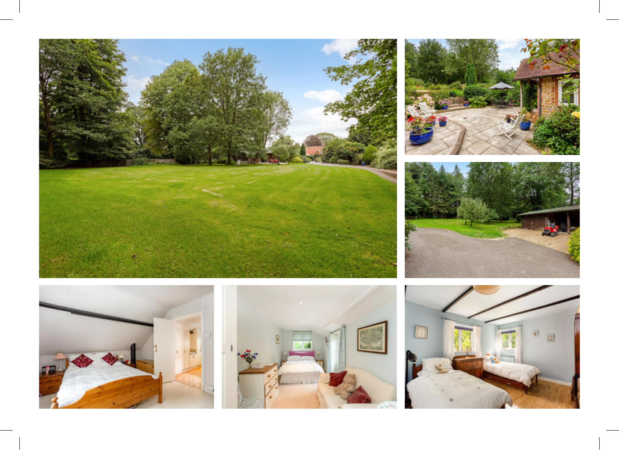